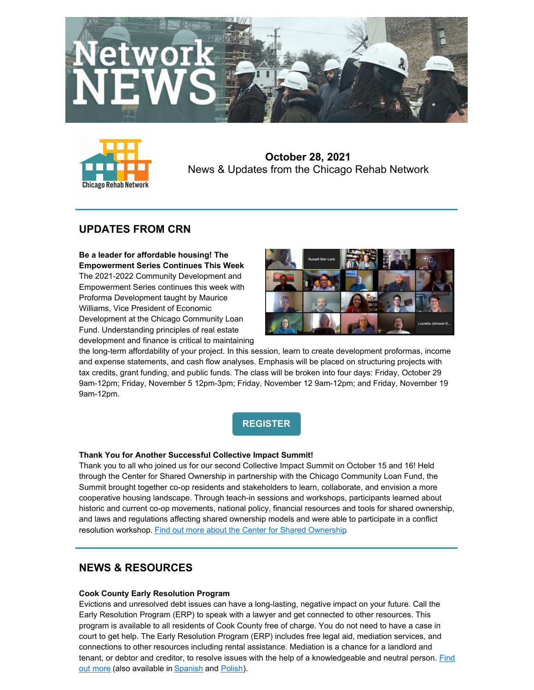



**October 28, 2021** News & Updates from the Chicago Rehab Network

# **UPDATES FROM CRN**

**Be a leader for affordable housing! The Empowerment Series Continues This Week** The 2021-2022 Community Development and Empowerment Series continues this week with Proforma Development taught by Maurice Williams, Vice President of Economic Development at the Chicago Community Loan Fund. Understanding principles of real estate development and finance is critical to maintaining



the long-term affordability of your project. In this session, learn to create development proformas, income and expense statements, and cash flow analyses. Emphasis will be placed on structuring projects with tax credits, grant funding, and public funds. The class will be broken into four days: Friday, October 29 9am-12pm; Friday, November 5 12pm-3pm; Friday, November 12 9am-12pm; and Friday, November 19 9am-12pm.

**[REGISTER](https://www.chicagorehab.org/training/community-empowerment-workshop-series-2020)**

# **Thank You for Another Successful Collective Impact Summit!**

Thank you to all who joined us for our second Collective Impact Summit on October 15 and 16! Held through the Center for Shared Ownership in partnership with the Chicago Community Loan Fund, the Summit brought together co-op residents and stakeholders to learn, collaborate, and envision a more cooperative housing landscape. Through teach-in sessions and workshops, participants learned about historic and current co-op movements, national policy, financial resources and tools for shared ownership, and laws and regulations affecting shared ownership models and were able to participate in a conflict resolution workshop. Find out more about the Center for Shared [Ownership](https://www.chicagorehab.org/training/center-for-shared-ownership).

# **NEWS & RESOURCES**

# **Cook County Early Resolution Program**

Evictions and unresolved debt issues can have a long-lasting, negative impact on your future. Call the Early Resolution Program (ERP) to speak with a lawyer and get connected to other resources. This program is available to all residents of Cook County free of charge. You do not need to have a case in court to get help. The Early Resolution Program (ERP) includes free legal aid, mediation services, and connections to other resources including rental assistance. Mediation is a chance for a landlord and tenant, or debtor and creditor, to resolve issues with the help of a [knowledgeable](https://files.constantcontact.com/0be26ff6001/4b67f3ca-2db9-4010-ae36-0ae39c72f9ea.pdf?rdr=true) and neutral person. Find out more (also available in [Spanish](https://files.constantcontact.com/0be26ff6001/2f8bce80-ded5-46d6-bd02-df213cedbfe0.pdf?rdr=true) and [Polish](https://files.constantcontact.com/0be26ff6001/84f0fc3b-8d7e-4fae-a53a-84e5537bf35b.pdf?rdr=true)).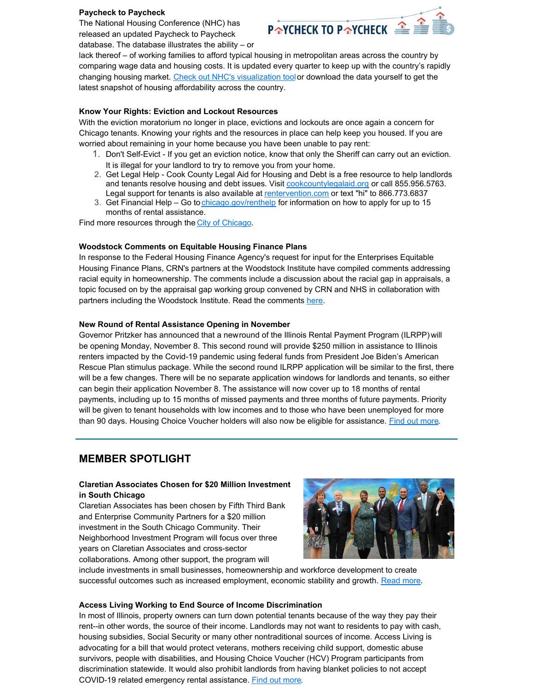#### **Paycheck to Paycheck**

The National Housing Conference (NHC) has released an updated Paycheck to Paycheck database. The database illustrates the ability – or



lack thereof – of working families to afford typical housing in metropolitan areas across the country by comparing wage data and housing costs. It is updated every quarter to keep up with the country's rapidly changing housing market. Check out NHC's [visualization](https://nhc.org/paycheck-to-paycheck/) tool or download the data yourself to get the latest snapshot of housing affordability across the country.

# **Know Your Rights: Eviction and Lockout Resources**

With the eviction moratorium no longer in place, evictions and lockouts are once again a concern for Chicago tenants. Knowing your rights and the resources in place can help keep you housed. If you are worried about remaining in your home because you have been unable to pay rent:

- 1. Don't Self-Evict If you get an eviction notice, know that only the Sheriff can carry out an eviction. It is illegal for your landlord to try to remove you from your home.
- 2. Get Legal Help Cook County Legal Aid for Housing and Debt is a free resource to help landlords and tenants resolve housing and debt issues. Visit [cookcountylegalaid.org](https://www.cookcountylegalaid.org/) or call 855.956.5763. Legal support for tenants is also available at [rentervention.com](https://rentervention.com/) or text "hi" to 866.773.6837
- 3. Get Financial Help Go to [chicago.gov/renthelp](https://www.chicago.gov/content/city/en/depts/doh/provdrs/renters/svcs/emergency-rental-assistance-program.html) for information on how to apply for up to 15 months of rental assistance.

Find more resources through the City of [Chicago](https://www.chicago.gov/city/en/depts/doh/provdrs/renters/svcs/eviction-and-lockout-resources.html).

### **Woodstock Comments on Equitable Housing Finance Plans**

In response to the Federal Housing Finance Agency's request for input for the Enterprises Equitable Housing Finance Plans, CRN's partners at the Woodstock Institute have compiled comments addressing racial equity in homeownership. The comments include a discussion about the racial gap in appraisals, a topic focused on by the appraisal gap working group convened by CRN and NHS in collaboration with partners including the Woodstock Institute. Read the comments [here](https://files.constantcontact.com/0be26ff6001/11edc168-46e4-48c2-b9e0-3e6ee84ef62d.pdf?rdr=true).

#### **New Round of Rental Assistance Opening in November**

Governor Pritzker has announced that a newround of the Illinois Rental [Payment](https://www.illinois.gov/news/press-release.24057.html) Program (ILRPP) will be opening Monday, November 8. This second round will provide \$250 million in assistance to Illinois renters impacted by the Covid-19 pandemic using federal funds from President Joe Biden's American Rescue Plan stimulus package. While the second round ILRPP [application](https://www.gregharris.org/wp/2021/03/26/american-rescue-plan-update/) will be similar to the first, there will be a few changes. There will be no separate application windows for landlords and tenants, so either can begin their application November 8. The assistance will now cover up to 18 months of rental payments, including up to 15 months of missed payments and three months of future payments. Priority will be given to tenant households with low incomes and to those who have been unemployed for more than 90 days. Housing Choice Voucher holders will also now be eligible for assistance. Find out [more](https://www.gregharris.org/wp/2021/10/27/new-round-of-rental-assistance-opens-nov-8/).

# **MEMBER SPOTLIGHT**

# **Claretian Associates Chosen for \$20 Million Investment in South Chicago**

Claretian Associates has been chosen by Fifth Third Bank and Enterprise Community Partners for a \$20 million investment in the South Chicago Community. Their Neighborhood Investment Program will focus over three years on Claretian Associates and cross-sector collaborations. Among other support, the program will



include investments in small businesses, homeownership and workforce development to create successful outcomes such as increased employment, economic stability and growth. [Read](https://myemail.constantcontact.com/We-re-Excited-to-Announce------.html?aid=ErMupKMDF7M&soid=1102026477880) more.

#### **Access Living Working to End Source of Income Discrimination**

In most of Illinois, property owners can turn down potential tenants because of the way they pay their rent--in other words, the source of their income. Landlords may not want to residents to pay with cash, housing subsidies, Social Security or many other nontraditional sources of income. Access Living is advocating for a bill that would protect veterans, mothers receiving child support, domestic abuse survivors, people with disabilities, and Housing Choice Voucher (HCV) Program participants from discrimination statewide. It would also prohibit landlords from having blanket policies to not accept COVID-19 related emergency rental assistance. Find out [more](https://www.accessliving.org/newsroom/action-alerts/keep-up-the-action-end-illinois-housing-discrimination-based-on-source-of-income/).